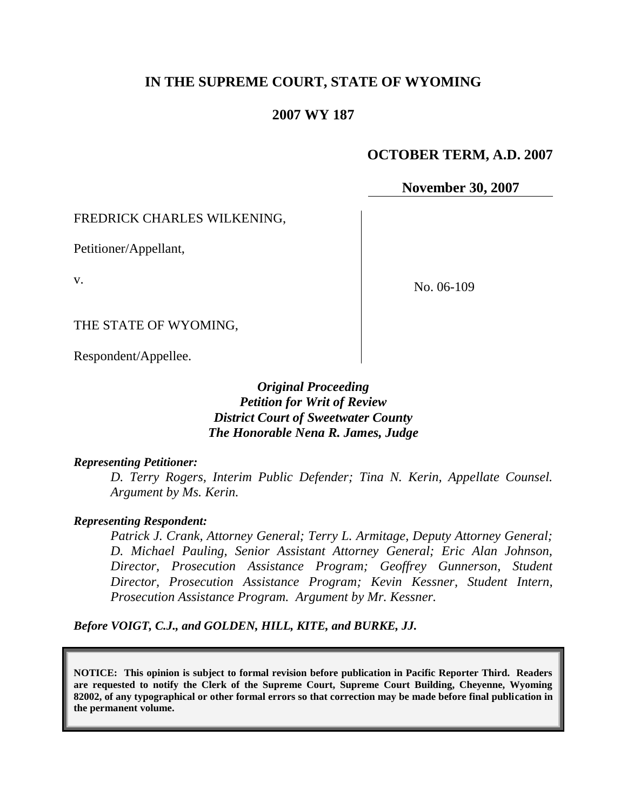# **IN THE SUPREME COURT, STATE OF WYOMING**

# **2007 WY 187**

### **OCTOBER TERM, A.D. 2007**

**November 30, 2007**

#### FREDRICK CHARLES WILKENING,

Petitioner/Appellant,

v.

No. 06-109

THE STATE OF WYOMING,

Respondent/Appellee.

*Original Proceeding Petition for Writ of Review District Court of Sweetwater County The Honorable Nena R. James, Judge*

#### *Representing Petitioner:*

*D. Terry Rogers, Interim Public Defender; Tina N. Kerin, Appellate Counsel. Argument by Ms. Kerin.*

#### *Representing Respondent:*

*Patrick J. Crank, Attorney General; Terry L. Armitage, Deputy Attorney General; D. Michael Pauling, Senior Assistant Attorney General; Eric Alan Johnson, Director, Prosecution Assistance Program; Geoffrey Gunnerson, Student Director, Prosecution Assistance Program; Kevin Kessner, Student Intern, Prosecution Assistance Program. Argument by Mr. Kessner.*

*Before VOIGT, C.J., and GOLDEN, HILL, KITE, and BURKE, JJ.*

**NOTICE: This opinion is subject to formal revision before publication in Pacific Reporter Third. Readers are requested to notify the Clerk of the Supreme Court, Supreme Court Building, Cheyenne, Wyoming 82002, of any typographical or other formal errors so that correction may be made before final publication in the permanent volume.**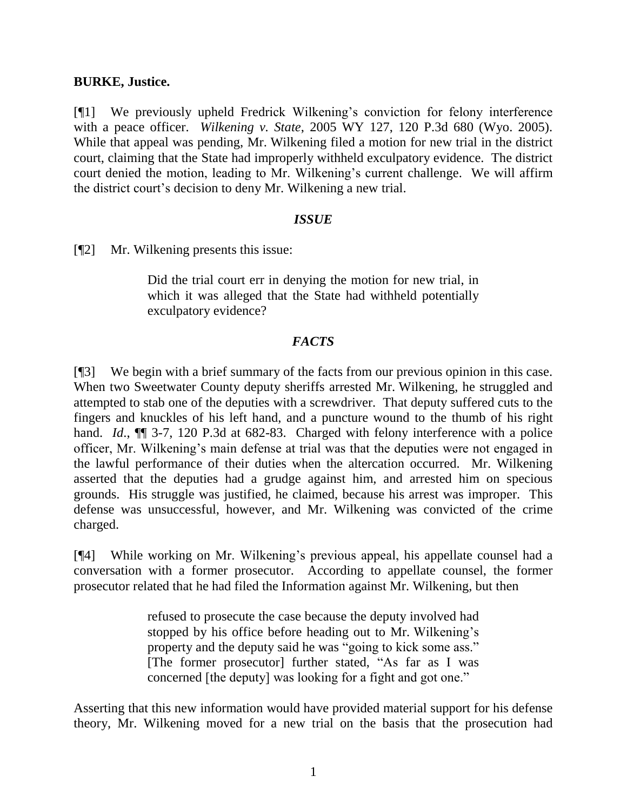### **BURKE, Justice.**

[¶1] We previously upheld Fredrick Wilkening's conviction for felony interference with a peace officer. *Wilkening v. State*, 2005 WY 127, 120 P.3d 680 (Wyo. 2005). While that appeal was pending, Mr. Wilkening filed a motion for new trial in the district court, claiming that the State had improperly withheld exculpatory evidence. The district court denied the motion, leading to Mr. Wilkening's current challenge. We will affirm the district court's decision to deny Mr. Wilkening a new trial.

### *ISSUE*

[¶2] Mr. Wilkening presents this issue:

Did the trial court err in denying the motion for new trial, in which it was alleged that the State had withheld potentially exculpatory evidence?

### *FACTS*

[¶3] We begin with a brief summary of the facts from our previous opinion in this case. When two Sweetwater County deputy sheriffs arrested Mr. Wilkening, he struggled and attempted to stab one of the deputies with a screwdriver. That deputy suffered cuts to the fingers and knuckles of his left hand, and a puncture wound to the thumb of his right hand. *Id.*, **[1]** 3-7, 120 P.3d at 682-83. Charged with felony interference with a police officer, Mr. Wilkening's main defense at trial was that the deputies were not engaged in the lawful performance of their duties when the altercation occurred. Mr. Wilkening asserted that the deputies had a grudge against him, and arrested him on specious grounds. His struggle was justified, he claimed, because his arrest was improper. This defense was unsuccessful, however, and Mr. Wilkening was convicted of the crime charged.

[¶4] While working on Mr. Wilkening's previous appeal, his appellate counsel had a conversation with a former prosecutor. According to appellate counsel, the former prosecutor related that he had filed the Information against Mr. Wilkening, but then

> refused to prosecute the case because the deputy involved had stopped by his office before heading out to Mr. Wilkening's property and the deputy said he was "going to kick some ass." [The former prosecutor] further stated, "As far as I was concerned [the deputy] was looking for a fight and got one."

Asserting that this new information would have provided material support for his defense theory, Mr. Wilkening moved for a new trial on the basis that the prosecution had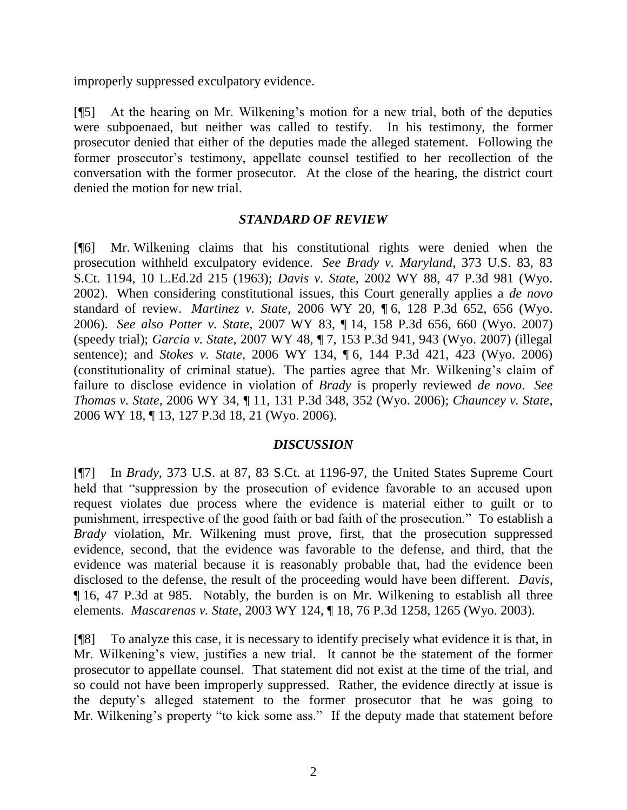improperly suppressed exculpatory evidence.

[¶5] At the hearing on Mr. Wilkening's motion for a new trial, both of the deputies were subpoenaed, but neither was called to testify. In his testimony, the former prosecutor denied that either of the deputies made the alleged statement. Following the former prosecutor's testimony, appellate counsel testified to her recollection of the conversation with the former prosecutor. At the close of the hearing, the district court denied the motion for new trial.

# *STANDARD OF REVIEW*

[¶6] Mr. Wilkening claims that his constitutional rights were denied when the prosecution withheld exculpatory evidence. *See Brady v. Maryland*, 373 U.S. 83, 83 S.Ct. 1194, 10 L.Ed.2d 215 (1963); *Davis v. State*, 2002 WY 88, 47 P.3d 981 (Wyo. 2002). When considering constitutional issues, this Court generally applies a *de novo* standard of review. *Martinez v. State*, 2006 WY 20, ¶ 6, 128 P.3d 652, 656 (Wyo. 2006). *See also Potter v. State*, 2007 WY 83, ¶ 14, 158 P.3d 656, 660 (Wyo. 2007) (speedy trial); *Garcia v. State*, 2007 WY 48, ¶ 7, 153 P.3d 941, 943 (Wyo. 2007) (illegal sentence); and *Stokes v. State*, 2006 WY 134, ¶ 6, 144 P.3d 421, 423 (Wyo. 2006) (constitutionality of criminal statue). The parties agree that Mr. Wilkening's claim of failure to disclose evidence in violation of *Brady* is properly reviewed *de novo*. *See Thomas v. State*, 2006 WY 34, ¶ 11, 131 P.3d 348, 352 (Wyo. 2006); *Chauncey v. State*, 2006 WY 18, ¶ 13, 127 P.3d 18, 21 (Wyo. 2006).

# *DISCUSSION*

[¶7] In *Brady*, 373 U.S. at 87, 83 S.Ct. at 1196-97, the United States Supreme Court held that "suppression by the prosecution of evidence favorable to an accused upon request violates due process where the evidence is material either to guilt or to punishment, irrespective of the good faith or bad faith of the prosecution." To establish a *Brady* violation, Mr. Wilkening must prove, first, that the prosecution suppressed evidence, second, that the evidence was favorable to the defense, and third, that the evidence was material because it is reasonably probable that, had the evidence been disclosed to the defense, the result of the proceeding would have been different. *Davis*, ¶ 16, 47 P.3d at 985. Notably, the burden is on Mr. Wilkening to establish all three elements. *Mascarenas v. State*, 2003 WY 124, ¶ 18, 76 P.3d 1258, 1265 (Wyo. 2003).

[¶8] To analyze this case, it is necessary to identify precisely what evidence it is that, in Mr. Wilkening's view, justifies a new trial. It cannot be the statement of the former prosecutor to appellate counsel. That statement did not exist at the time of the trial, and so could not have been improperly suppressed. Rather, the evidence directly at issue is the deputy's alleged statement to the former prosecutor that he was going to Mr. Wilkening's property "to kick some ass." If the deputy made that statement before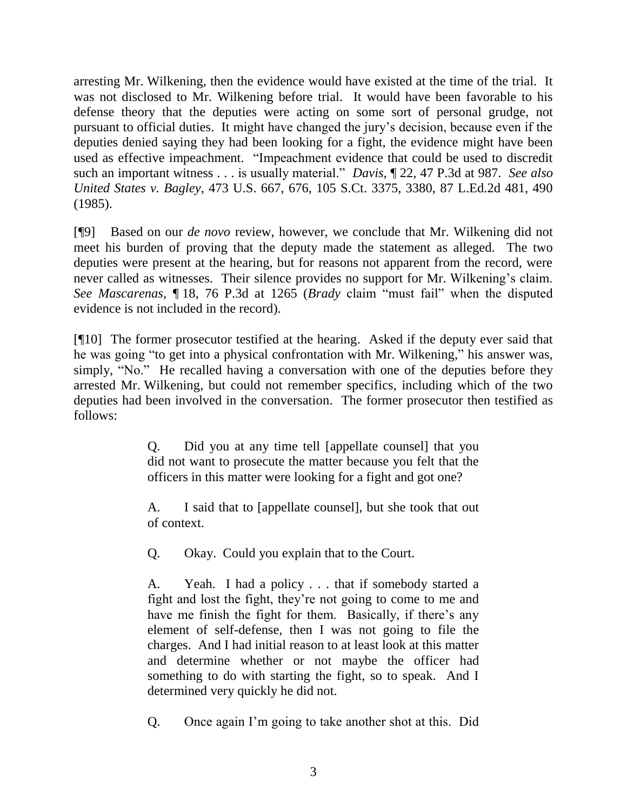arresting Mr. Wilkening, then the evidence would have existed at the time of the trial. It was not disclosed to Mr. Wilkening before trial. It would have been favorable to his defense theory that the deputies were acting on some sort of personal grudge, not pursuant to official duties. It might have changed the jury's decision, because even if the deputies denied saying they had been looking for a fight, the evidence might have been used as effective impeachment. "Impeachment evidence that could be used to discredit such an important witness . . . is usually material." *Davis*, ¶ 22, 47 P.3d at 987. *See also United States v. Bagley*, 473 U.S. 667, 676, 105 S.Ct. 3375, 3380, 87 L.Ed.2d 481, 490 (1985).

[¶9] Based on our *de novo* review, however, we conclude that Mr. Wilkening did not meet his burden of proving that the deputy made the statement as alleged. The two deputies were present at the hearing, but for reasons not apparent from the record, were never called as witnesses. Their silence provides no support for Mr. Wilkening's claim. *See Mascarenas*, ¶ 18, 76 P.3d at 1265 (*Brady* claim "must fail" when the disputed evidence is not included in the record).

[¶10] The former prosecutor testified at the hearing. Asked if the deputy ever said that he was going "to get into a physical confrontation with Mr. Wilkening," his answer was, simply, "No." He recalled having a conversation with one of the deputies before they arrested Mr. Wilkening, but could not remember specifics, including which of the two deputies had been involved in the conversation. The former prosecutor then testified as follows:

> Q. Did you at any time tell [appellate counsel] that you did not want to prosecute the matter because you felt that the officers in this matter were looking for a fight and got one?

> A. I said that to [appellate counsel], but she took that out of context.

Q. Okay. Could you explain that to the Court.

A. Yeah. I had a policy . . . that if somebody started a fight and lost the fight, they're not going to come to me and have me finish the fight for them. Basically, if there's any element of self-defense, then I was not going to file the charges. And I had initial reason to at least look at this matter and determine whether or not maybe the officer had something to do with starting the fight, so to speak. And I determined very quickly he did not.

Q. Once again I'm going to take another shot at this. Did